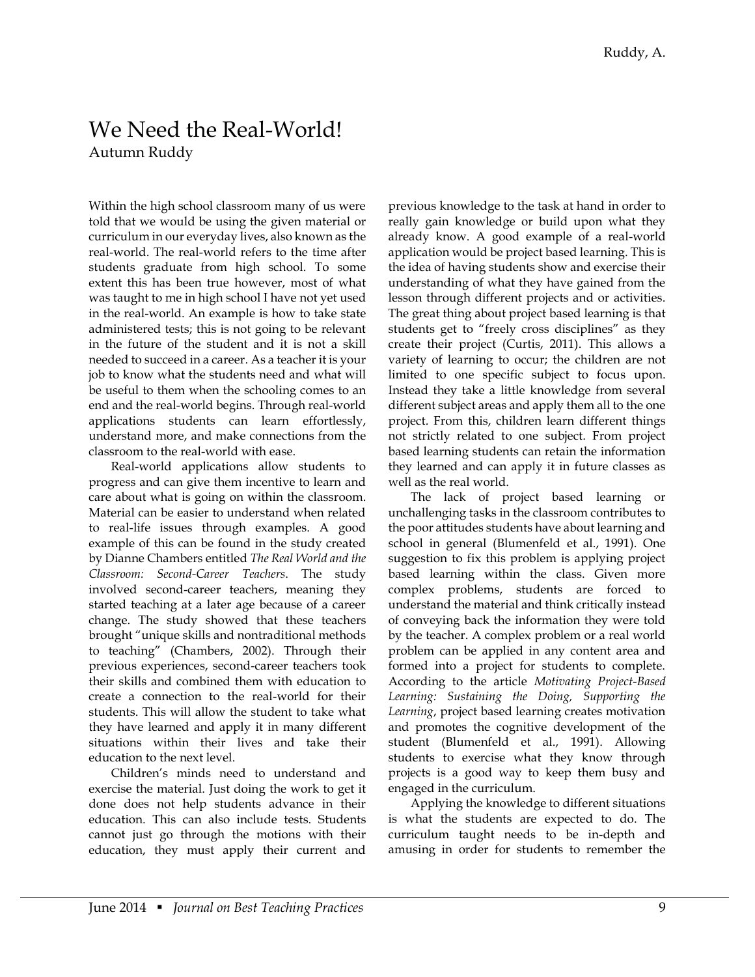## We Need the Real-World! Autumn Ruddy

Within the high school classroom many of us were told that we would be using the given material or curriculum in our everyday lives, also known as the real-world. The real-world refers to the time after students graduate from high school. To some extent this has been true however, most of what was taught to me in high school I have not yet used in the real-world. An example is how to take state administered tests; this is not going to be relevant in the future of the student and it is not a skill needed to succeed in a career. As a teacher it is your job to know what the students need and what will be useful to them when the schooling comes to an end and the real-world begins. Through real-world applications students can learn effortlessly, understand more, and make connections from the classroom to the real-world with ease.

Real-world applications allow students to progress and can give them incentive to learn and care about what is going on within the classroom. Material can be easier to understand when related to real-life issues through examples. A good example of this can be found in the study created by Dianne Chambers entitled *The Real World and the Classroom: Second-Career Teachers*. The study involved second-career teachers, meaning they started teaching at a later age because of a career change. The study showed that these teachers brought "unique skills and nontraditional methods to teaching" (Chambers, 2002). Through their previous experiences, second-career teachers took their skills and combined them with education to create a connection to the real-world for their students. This will allow the student to take what they have learned and apply it in many different situations within their lives and take their education to the next level.

Children's minds need to understand and exercise the material. Just doing the work to get it done does not help students advance in their education. This can also include tests. Students cannot just go through the motions with their education, they must apply their current and

previous knowledge to the task at hand in order to really gain knowledge or build upon what they already know. A good example of a real-world application would be project based learning. This is the idea of having students show and exercise their understanding of what they have gained from the lesson through different projects and or activities. The great thing about project based learning is that students get to "freely cross disciplines" as they create their project (Curtis, 2011). This allows a variety of learning to occur; the children are not limited to one specific subject to focus upon. Instead they take a little knowledge from several different subject areas and apply them all to the one project. From this, children learn different things not strictly related to one subject. From project based learning students can retain the information they learned and can apply it in future classes as well as the real world.

The lack of project based learning or unchallenging tasks in the classroom contributes to the poor attitudes students have about learning and school in general (Blumenfeld et al., 1991). One suggestion to fix this problem is applying project based learning within the class. Given more complex problems, students are forced to understand the material and think critically instead of conveying back the information they were told by the teacher. A complex problem or a real world problem can be applied in any content area and formed into a project for students to complete. According to the article *Motivating Project-Based Learning: Sustaining the Doing, Supporting the Learning*, project based learning creates motivation and promotes the cognitive development of the student (Blumenfeld et al., 1991). Allowing students to exercise what they know through projects is a good way to keep them busy and engaged in the curriculum.

Applying the knowledge to different situations is what the students are expected to do. The curriculum taught needs to be in-depth and amusing in order for students to remember the